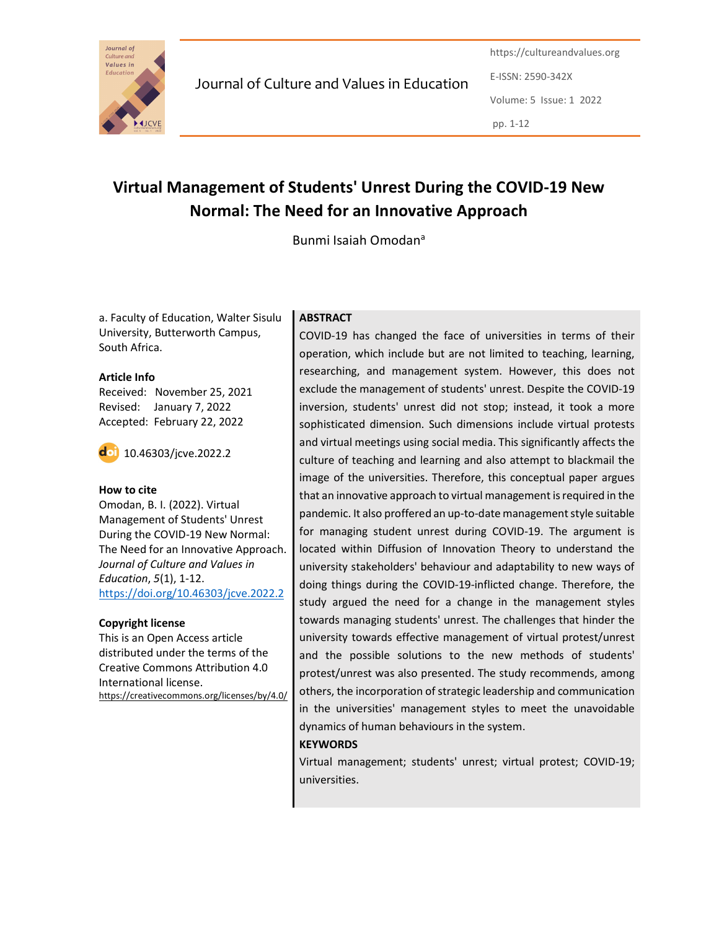

Journal of Culture and Values in Education

https://cultureandvalues.org E-ISSN: 2590-342X Volume: 5 Issue: 1 2022 pp. 1-12

# Virtual Management of Students' Unrest During the COVID-19 New Normal: The Need for an Innovative Approach

Bunmi Isaiah Omodan<sup>a</sup><br>a. Faculty of Education, Walter Sisulu | ABSTRACT University, Butterworth Campus, South Africa.

#### Article Info

Received: November 25, 2021 Revised: January 7, 2022 Accepted: February 22, 2022

10.46303/jcve.2022.2

#### How to cite

Omodan, B. I. (2022). Virtual Management of Students' Unrest During the COVID-19 New Normal: The Need for an Innovative Approach. Journal of Culture and Values in Education, 5(1), 1-12. https://doi.org/10.46303/jcve.2022.2

## Copyright license

This is an Open Access article distributed under the terms of the Creative Commons Attribution 4.0 International license. https://creativecommons.org/licenses/by/4.0/

# **ABSTRACT**

COVID-19 has changed the face of universities in terms of their operation, which include but are not limited to teaching, learning, researching, and management system. However, this does not exclude the management of students' unrest. Despite the COVID-19 inversion, students' unrest did not stop; instead, it took a more sophisticated dimension. Such dimensions include virtual protests and virtual meetings using social media. This significantly affects the culture of teaching and learning and also attempt to blackmail the image of the universities. Therefore, this conceptual paper argues that an innovative approach to virtual management is required in the pandemic. It also proffered an up-to-date management style suitable for managing student unrest during COVID-19. The argument is located within Diffusion of Innovation Theory to understand the university stakeholders' behaviour and adaptability to new ways of doing things during the COVID-19-inflicted change. Therefore, the study argued the need for a change in the management styles towards managing students' unrest. The challenges that hinder the university towards effective management of virtual protest/unrest and the possible solutions to the new methods of students' protest/unrest was also presented. The study recommends, among others, the incorporation of strategic leadership and communication in the universities' management styles to meet the unavoidable dynamics of human behaviours in the system.

## **KEYWORDS**

Virtual management; students' unrest; virtual protest; COVID-19; universities.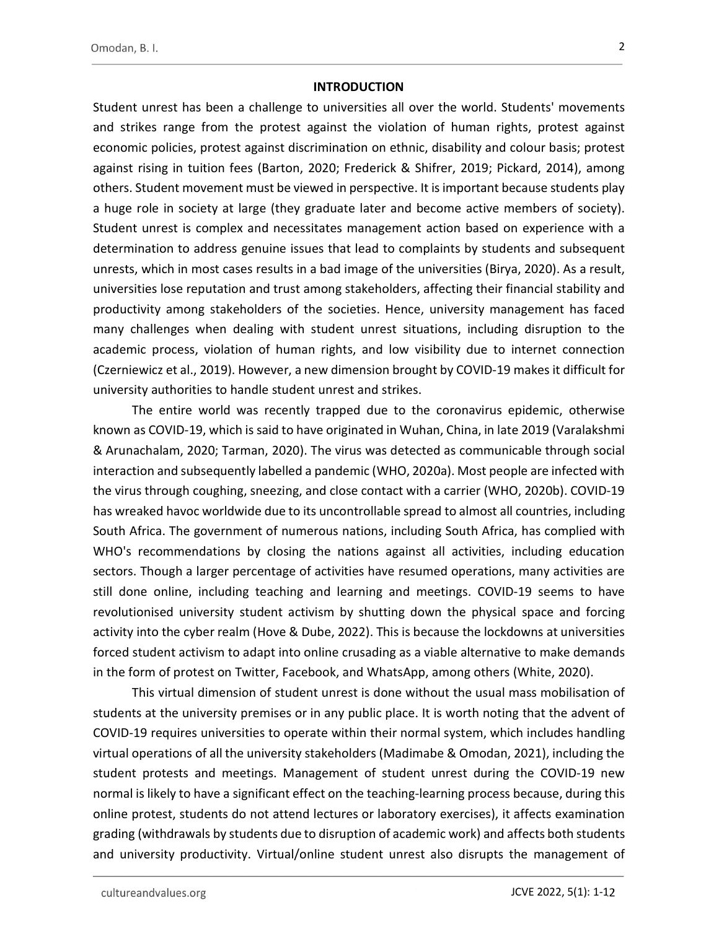#### **INTRODUCTION**

Student unrest has been a challenge to universities all over the world. Students' movements and strikes range from the protest against the violation of human rights, protest against economic policies, protest against discrimination on ethnic, disability and colour basis; protest against rising in tuition fees (Barton, 2020; Frederick & Shifrer, 2019; Pickard, 2014), among others. Student movement must be viewed in perspective. It is important because students play a huge role in society at large (they graduate later and become active members of society). Student unrest is complex and necessitates management action based on experience with a determination to address genuine issues that lead to complaints by students and subsequent unrests, which in most cases results in a bad image of the universities (Birya, 2020). As a result, universities lose reputation and trust among stakeholders, affecting their financial stability and productivity among stakeholders of the societies. Hence, university management has faced many challenges when dealing with student unrest situations, including disruption to the academic process, violation of human rights, and low visibility due to internet connection (Czerniewicz et al., 2019). However, a new dimension brought by COVID-19 makes it difficult for university authorities to handle student unrest and strikes.

The entire world was recently trapped due to the coronavirus epidemic, otherwise known as COVID-19, which is said to have originated in Wuhan, China, in late 2019 (Varalakshmi & Arunachalam, 2020; Tarman, 2020). The virus was detected as communicable through social interaction and subsequently labelled a pandemic (WHO, 2020a). Most people are infected with the virus through coughing, sneezing, and close contact with a carrier (WHO, 2020b). COVID-19 has wreaked havoc worldwide due to its uncontrollable spread to almost all countries, including South Africa. The government of numerous nations, including South Africa, has complied with WHO's recommendations by closing the nations against all activities, including education sectors. Though a larger percentage of activities have resumed operations, many activities are still done online, including teaching and learning and meetings. COVID-19 seems to have revolutionised university student activism by shutting down the physical space and forcing activity into the cyber realm (Hove & Dube, 2022). This is because the lockdowns at universities forced student activism to adapt into online crusading as a viable alternative to make demands in the form of protest on Twitter, Facebook, and WhatsApp, among others (White, 2020).

This virtual dimension of student unrest is done without the usual mass mobilisation of students at the university premises or in any public place. It is worth noting that the advent of COVID-19 requires universities to operate within their normal system, which includes handling virtual operations of all the university stakeholders (Madimabe & Omodan, 2021), including the student protests and meetings. Management of student unrest during the COVID-19 new normal is likely to have a significant effect on the teaching-learning process because, during this online protest, students do not attend lectures or laboratory exercises), it affects examination grading (withdrawals by students due to disruption of academic work) and affects both students and university productivity. Virtual/online student unrest also disrupts the management of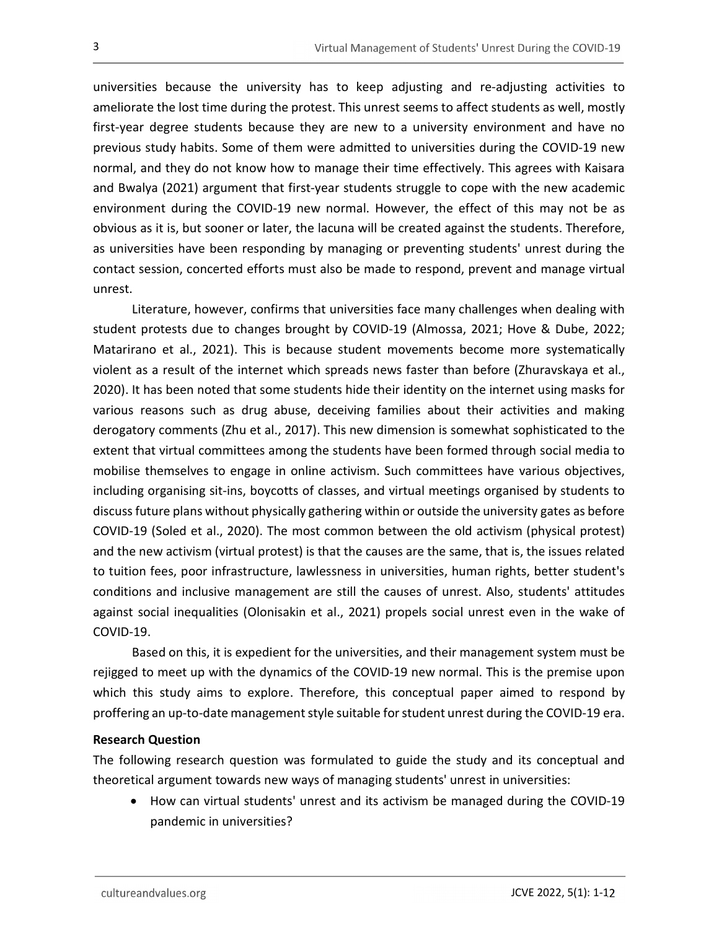universities because the university has to keep adjusting and re-adjusting activities to ameliorate the lost time during the protest. This unrest seems to affect students as well, mostly first-year degree students because they are new to a university environment and have no previous study habits. Some of them were admitted to universities during the COVID-19 new normal, and they do not know how to manage their time effectively. This agrees with Kaisara and Bwalya (2021) argument that first-year students struggle to cope with the new academic environment during the COVID-19 new normal. However, the effect of this may not be as obvious as it is, but sooner or later, the lacuna will be created against the students. Therefore, as universities have been responding by managing or preventing students' unrest during the contact session, concerted efforts must also be made to respond, prevent and manage virtual unrest.

Literature, however, confirms that universities face many challenges when dealing with student protests due to changes brought by COVID-19 (Almossa, 2021; Hove & Dube, 2022; Matarirano et al., 2021). This is because student movements become more systematically violent as a result of the internet which spreads news faster than before (Zhuravskaya et al., 2020). It has been noted that some students hide their identity on the internet using masks for various reasons such as drug abuse, deceiving families about their activities and making derogatory comments (Zhu et al., 2017). This new dimension is somewhat sophisticated to the extent that virtual committees among the students have been formed through social media to mobilise themselves to engage in online activism. Such committees have various objectives, including organising sit-ins, boycotts of classes, and virtual meetings organised by students to discuss future plans without physically gathering within or outside the university gates as before COVID-19 (Soled et al., 2020). The most common between the old activism (physical protest) and the new activism (virtual protest) is that the causes are the same, that is, the issues related to tuition fees, poor infrastructure, lawlessness in universities, human rights, better student's conditions and inclusive management are still the causes of unrest. Also, students' attitudes against social inequalities (Olonisakin et al., 2021) propels social unrest even in the wake of COVID-19.

Based on this, it is expedient for the universities, and their management system must be rejigged to meet up with the dynamics of the COVID-19 new normal. This is the premise upon which this study aims to explore. Therefore, this conceptual paper aimed to respond by proffering an up-to-date management style suitable for student unrest during the COVID-19 era.

## Research Question

The following research question was formulated to guide the study and its conceptual and theoretical argument towards new ways of managing students' unrest in universities:

 How can virtual students' unrest and its activism be managed during the COVID-19 pandemic in universities?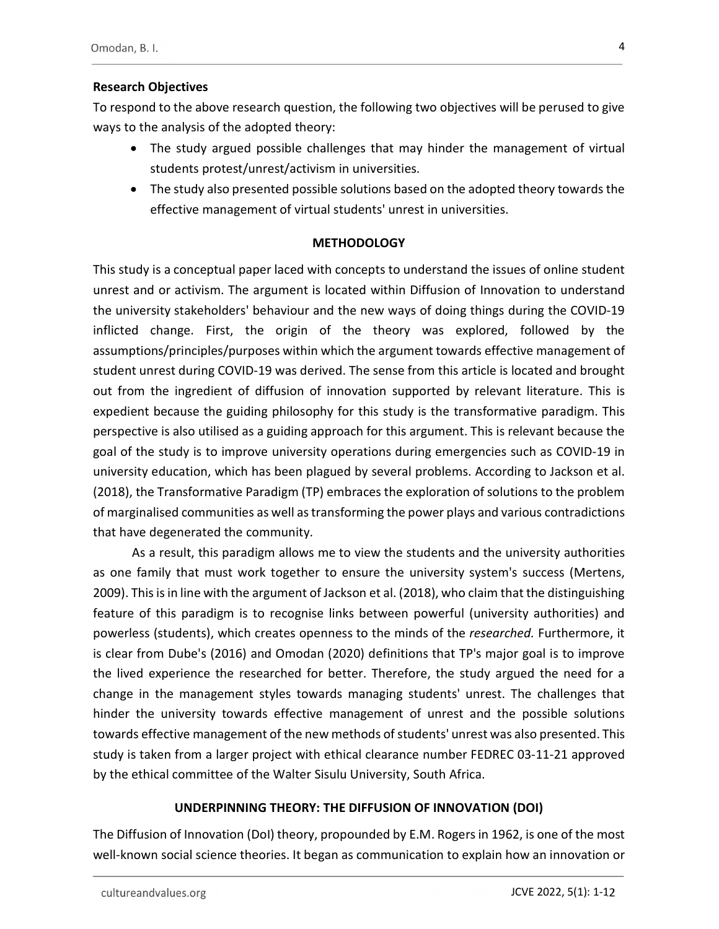# Research Objectives

To respond to the above research question, the following two objectives will be perused to give ways to the analysis of the adopted theory:

- The study argued possible challenges that may hinder the management of virtual students protest/unrest/activism in universities.
- The study also presented possible solutions based on the adopted theory towards the effective management of virtual students' unrest in universities.

## **METHODOLOGY**

This study is a conceptual paper laced with concepts to understand the issues of online student unrest and or activism. The argument is located within Diffusion of Innovation to understand the university stakeholders' behaviour and the new ways of doing things during the COVID-19 inflicted change. First, the origin of the theory was explored, followed by the assumptions/principles/purposes within which the argument towards effective management of student unrest during COVID-19 was derived. The sense from this article is located and brought out from the ingredient of diffusion of innovation supported by relevant literature. This is expedient because the guiding philosophy for this study is the transformative paradigm. This perspective is also utilised as a guiding approach for this argument. This is relevant because the goal of the study is to improve university operations during emergencies such as COVID-19 in university education, which has been plagued by several problems. According to Jackson et al. (2018), the Transformative Paradigm (TP) embraces the exploration of solutions to the problem of marginalised communities as well as transforming the power plays and various contradictions that have degenerated the community.

As a result, this paradigm allows me to view the students and the university authorities as one family that must work together to ensure the university system's success (Mertens, 2009). This is in line with the argument of Jackson et al. (2018), who claim that the distinguishing feature of this paradigm is to recognise links between powerful (university authorities) and powerless (students), which creates openness to the minds of the *researched*. Furthermore, it is clear from Dube's (2016) and Omodan (2020) definitions that TP's major goal is to improve the lived experience the researched for better. Therefore, the study argued the need for a change in the management styles towards managing students' unrest. The challenges that hinder the university towards effective management of unrest and the possible solutions towards effective management of the new methods of students' unrest was also presented. This study is taken from a larger project with ethical clearance number FEDREC 03-11-21 approved by the ethical committee of the Walter Sisulu University, South Africa.

# UNDERPINNING THEORY: THE DIFFUSION OF INNOVATION (DOI)

The Diffusion of Innovation (DoI) theory, propounded by E.M. Rogers in 1962, is one of the most well-known social science theories. It began as communication to explain how an innovation or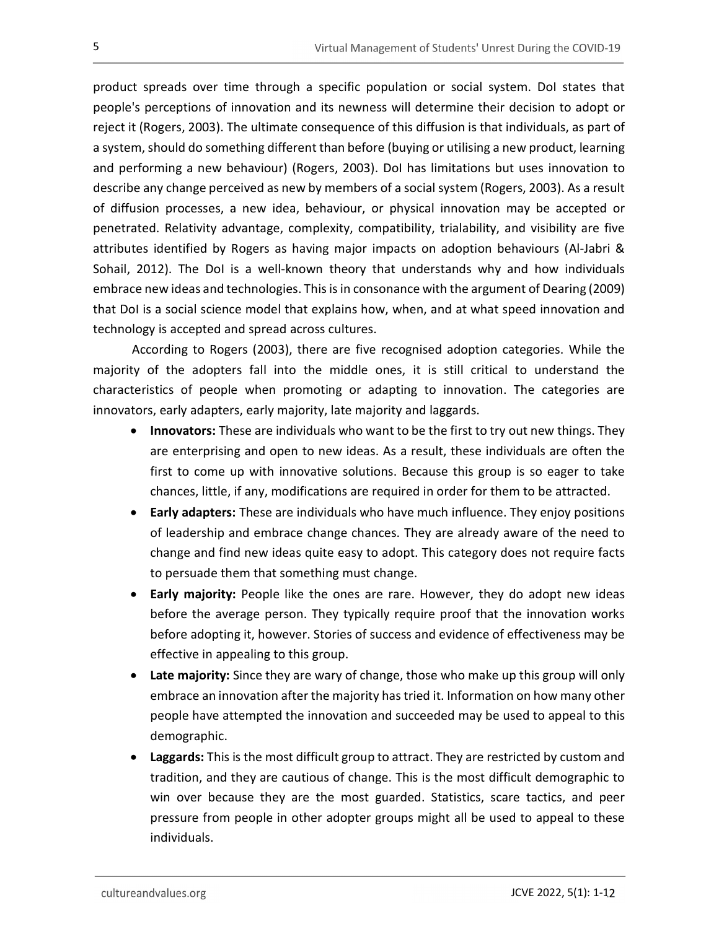product spreads over time through a specific population or social system. DoI states that people's perceptions of innovation and its newness will determine their decision to adopt or reject it (Rogers, 2003). The ultimate consequence of this diffusion is that individuals, as part of a system, should do something different than before (buying or utilising a new product, learning and performing a new behaviour) (Rogers, 2003). DoI has limitations but uses innovation to describe any change perceived as new by members of a social system (Rogers, 2003). As a result of diffusion processes, a new idea, behaviour, or physical innovation may be accepted or penetrated. Relativity advantage, complexity, compatibility, trialability, and visibility are five attributes identified by Rogers as having major impacts on adoption behaviours (Al-Jabri & Sohail, 2012). The DoI is a well-known theory that understands why and how individuals embrace new ideas and technologies. This is in consonance with the argument of Dearing (2009) that DoI is a social science model that explains how, when, and at what speed innovation and technology is accepted and spread across cultures.

According to Rogers (2003), there are five recognised adoption categories. While the majority of the adopters fall into the middle ones, it is still critical to understand the characteristics of people when promoting or adapting to innovation. The categories are innovators, early adapters, early majority, late majority and laggards.

- Innovators: These are individuals who want to be the first to try out new things. They are enterprising and open to new ideas. As a result, these individuals are often the first to come up with innovative solutions. Because this group is so eager to take chances, little, if any, modifications are required in order for them to be attracted.
- Early adapters: These are individuals who have much influence. They enjoy positions of leadership and embrace change chances. They are already aware of the need to change and find new ideas quite easy to adopt. This category does not require facts to persuade them that something must change.
- Early majority: People like the ones are rare. However, they do adopt new ideas before the average person. They typically require proof that the innovation works before adopting it, however. Stories of success and evidence of effectiveness may be effective in appealing to this group.
- Late majority: Since they are wary of change, those who make up this group will only embrace an innovation after the majority has tried it. Information on how many other people have attempted the innovation and succeeded may be used to appeal to this demographic.
- Laggards: This is the most difficult group to attract. They are restricted by custom and tradition, and they are cautious of change. This is the most difficult demographic to win over because they are the most guarded. Statistics, scare tactics, and peer pressure from people in other adopter groups might all be used to appeal to these individuals.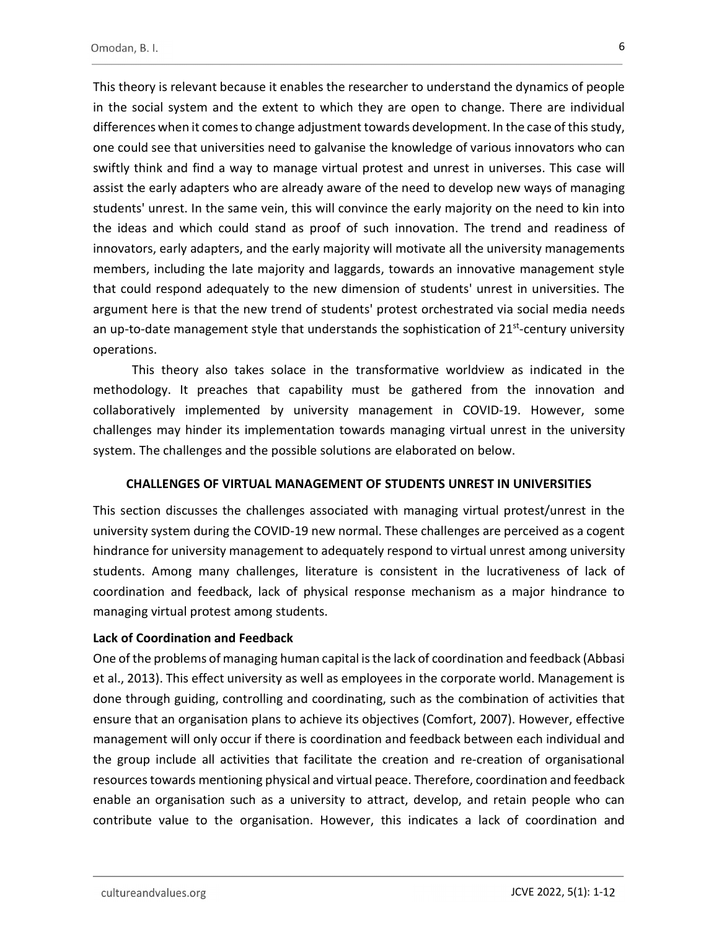This theory is relevant because it enables the researcher to understand the dynamics of people in the social system and the extent to which they are open to change. There are individual differences when it comes to change adjustment towards development. In the case of this study, one could see that universities need to galvanise the knowledge of various innovators who can swiftly think and find a way to manage virtual protest and unrest in universes. This case will assist the early adapters who are already aware of the need to develop new ways of managing students' unrest. In the same vein, this will convince the early majority on the need to kin into the ideas and which could stand as proof of such innovation. The trend and readiness of innovators, early adapters, and the early majority will motivate all the university managements members, including the late majority and laggards, towards an innovative management style that could respond adequately to the new dimension of students' unrest in universities. The argument here is that the new trend of students' protest orchestrated via social media needs an up-to-date management style that understands the sophistication of  $21<sup>st</sup>$ -century university operations.

This theory also takes solace in the transformative worldview as indicated in the methodology. It preaches that capability must be gathered from the innovation and collaboratively implemented by university management in COVID-19. However, some challenges may hinder its implementation towards managing virtual unrest in the university system. The challenges and the possible solutions are elaborated on below.

## CHALLENGES OF VIRTUAL MANAGEMENT OF STUDENTS UNREST IN UNIVERSITIES

This section discusses the challenges associated with managing virtual protest/unrest in the university system during the COVID-19 new normal. These challenges are perceived as a cogent hindrance for university management to adequately respond to virtual unrest among university students. Among many challenges, literature is consistent in the lucrativeness of lack of coordination and feedback, lack of physical response mechanism as a major hindrance to managing virtual protest among students.

## Lack of Coordination and Feedback

One of the problems of managing human capital is the lack of coordination and feedback (Abbasi et al., 2013). This effect university as well as employees in the corporate world. Management is done through guiding, controlling and coordinating, such as the combination of activities that ensure that an organisation plans to achieve its objectives (Comfort, 2007). However, effective management will only occur if there is coordination and feedback between each individual and the group include all activities that facilitate the creation and re-creation of organisational resources towards mentioning physical and virtual peace. Therefore, coordination and feedback enable an organisation such as a university to attract, develop, and retain people who can contribute value to the organisation. However, this indicates a lack of coordination and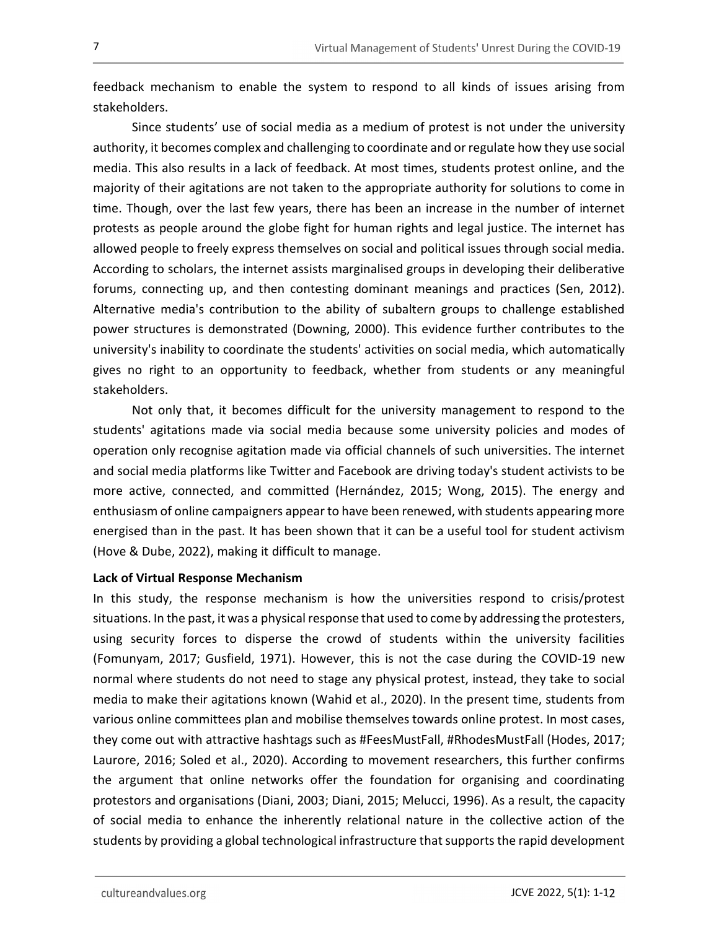feedback mechanism to enable the system to respond to all kinds of issues arising from stakeholders.

Since students' use of social media as a medium of protest is not under the university authority, it becomes complex and challenging to coordinate and or regulate how they use social media. This also results in a lack of feedback. At most times, students protest online, and the majority of their agitations are not taken to the appropriate authority for solutions to come in time. Though, over the last few years, there has been an increase in the number of internet protests as people around the globe fight for human rights and legal justice. The internet has allowed people to freely express themselves on social and political issues through social media. According to scholars, the internet assists marginalised groups in developing their deliberative forums, connecting up, and then contesting dominant meanings and practices (Sen, 2012). Alternative media's contribution to the ability of subaltern groups to challenge established power structures is demonstrated (Downing, 2000). This evidence further contributes to the university's inability to coordinate the students' activities on social media, which automatically gives no right to an opportunity to feedback, whether from students or any meaningful stakeholders.

Not only that, it becomes difficult for the university management to respond to the students' agitations made via social media because some university policies and modes of operation only recognise agitation made via official channels of such universities. The internet and social media platforms like Twitter and Facebook are driving today's student activists to be more active, connected, and committed (Hernández, 2015; Wong, 2015). The energy and enthusiasm of online campaigners appear to have been renewed, with students appearing more energised than in the past. It has been shown that it can be a useful tool for student activism (Hove & Dube, 2022), making it difficult to manage.

## Lack of Virtual Response Mechanism

In this study, the response mechanism is how the universities respond to crisis/protest situations. In the past, it was a physical response that used to come by addressing the protesters, using security forces to disperse the crowd of students within the university facilities (Fomunyam, 2017; Gusfield, 1971). However, this is not the case during the COVID-19 new normal where students do not need to stage any physical protest, instead, they take to social media to make their agitations known (Wahid et al., 2020). In the present time, students from various online committees plan and mobilise themselves towards online protest. In most cases, they come out with attractive hashtags such as #FeesMustFall, #RhodesMustFall (Hodes, 2017; Laurore, 2016; Soled et al., 2020). According to movement researchers, this further confirms the argument that online networks offer the foundation for organising and coordinating protestors and organisations (Diani, 2003; Diani, 2015; Melucci, 1996). As a result, the capacity of social media to enhance the inherently relational nature in the collective action of the students by providing a global technological infrastructure that supports the rapid development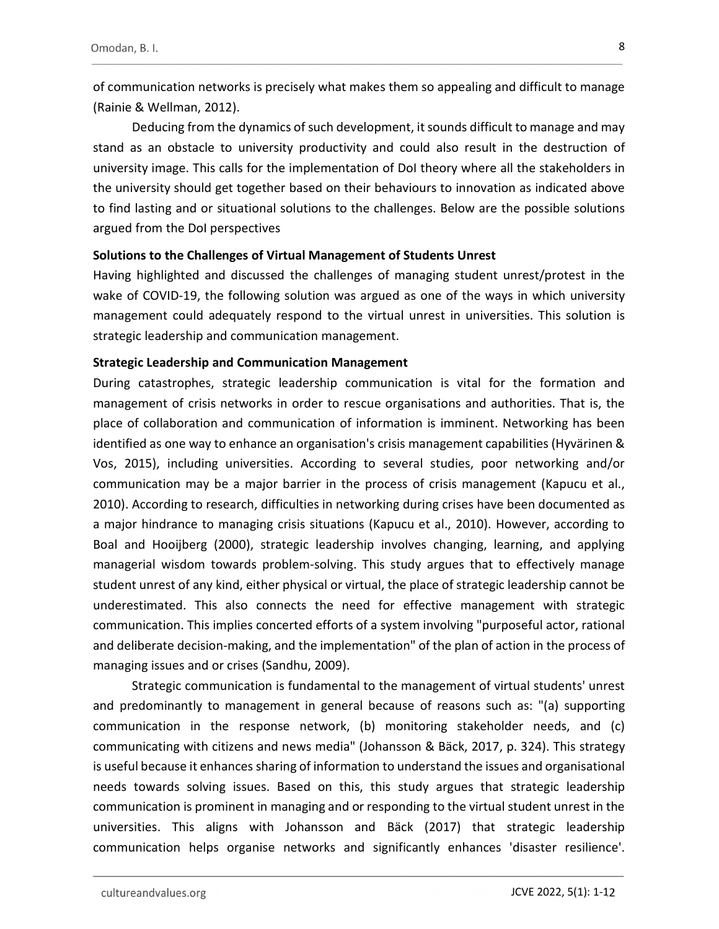of communication networks is precisely what makes them so appealing and difficult to manage (Rainie & Wellman, 2012).

Deducing from the dynamics of such development, it sounds difficult to manage and may stand as an obstacle to university productivity and could also result in the destruction of university image. This calls for the implementation of DoI theory where all the stakeholders in the university should get together based on their behaviours to innovation as indicated above to find lasting and or situational solutions to the challenges. Below are the possible solutions argued from the DoI perspectives

#### Solutions to the Challenges of Virtual Management of Students Unrest

Having highlighted and discussed the challenges of managing student unrest/protest in the wake of COVID-19, the following solution was argued as one of the ways in which university management could adequately respond to the virtual unrest in universities. This solution is strategic leadership and communication management.

#### Strategic Leadership and Communication Management

During catastrophes, strategic leadership communication is vital for the formation and management of crisis networks in order to rescue organisations and authorities. That is, the place of collaboration and communication of information is imminent. Networking has been identified as one way to enhance an organisation's crisis management capabilities (Hyvärinen & Vos, 2015), including universities. According to several studies, poor networking and/or communication may be a major barrier in the process of crisis management (Kapucu et al., 2010). According to research, difficulties in networking during crises have been documented as a major hindrance to managing crisis situations (Kapucu et al., 2010). However, according to Boal and Hooijberg (2000), strategic leadership involves changing, learning, and applying managerial wisdom towards problem-solving. This study argues that to effectively manage student unrest of any kind, either physical or virtual, the place of strategic leadership cannot be underestimated. This also connects the need for effective management with strategic communication. This implies concerted efforts of a system involving "purposeful actor, rational and deliberate decision-making, and the implementation" of the plan of action in the process of managing issues and or crises (Sandhu, 2009).

Strategic communication is fundamental to the management of virtual students' unrest and predominantly to management in general because of reasons such as: "(a) supporting communication in the response network, (b) monitoring stakeholder needs, and (c) communicating with citizens and news media" (Johansson & Bäck, 2017, p. 324). This strategy is useful because it enhances sharing of information to understand the issues and organisational needs towards solving issues. Based on this, this study argues that strategic leadership communication is prominent in managing and or responding to the virtual student unrest in the universities. This aligns with Johansson and Bäck (2017) that strategic leadership communication helps organise networks and significantly enhances 'disaster resilience'.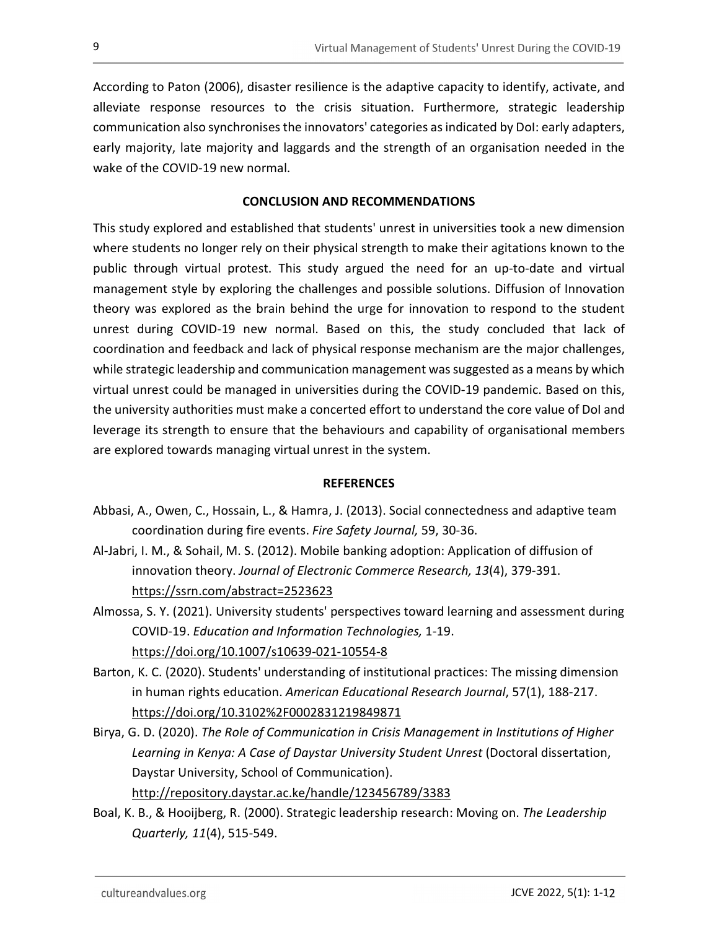According to Paton (2006), disaster resilience is the adaptive capacity to identify, activate, and alleviate response resources to the crisis situation. Furthermore, strategic leadership communication also synchronises the innovators' categories as indicated by DoI: early adapters, early majority, late majority and laggards and the strength of an organisation needed in the wake of the COVID-19 new normal.

## CONCLUSION AND RECOMMENDATIONS

This study explored and established that students' unrest in universities took a new dimension where students no longer rely on their physical strength to make their agitations known to the public through virtual protest. This study argued the need for an up-to-date and virtual management style by exploring the challenges and possible solutions. Diffusion of Innovation theory was explored as the brain behind the urge for innovation to respond to the student unrest during COVID-19 new normal. Based on this, the study concluded that lack of coordination and feedback and lack of physical response mechanism are the major challenges, while strategic leadership and communication management was suggested as a means by which virtual unrest could be managed in universities during the COVID-19 pandemic. Based on this, the university authorities must make a concerted effort to understand the core value of DoI and leverage its strength to ensure that the behaviours and capability of organisational members are explored towards managing virtual unrest in the system.

#### **REFERENCES**

- Abbasi, A., Owen, C., Hossain, L., & Hamra, J. (2013). Social connectedness and adaptive team coordination during fire events. Fire Safety Journal, 59, 30-36.
- Al-Jabri, I. M., & Sohail, M. S. (2012). Mobile banking adoption: Application of diffusion of innovation theory. Journal of Electronic Commerce Research, 13(4), 379-391. https://ssrn.com/abstract=2523623
- Almossa, S. Y. (2021). University students' perspectives toward learning and assessment during COVID-19. Education and Information Technologies, 1-19. https://doi.org/10.1007/s10639-021-10554-8
- Barton, K. C. (2020). Students' understanding of institutional practices: The missing dimension in human rights education. American Educational Research Journal, 57(1), 188-217. https://doi.org/10.3102%2F0002831219849871
- Birya, G. D. (2020). The Role of Communication in Crisis Management in Institutions of Higher Learning in Kenya: A Case of Daystar University Student Unrest (Doctoral dissertation, Daystar University, School of Communication).

http://repository.daystar.ac.ke/handle/123456789/3383

Boal, K. B., & Hooijberg, R. (2000). Strategic leadership research: Moving on. The Leadership Quarterly, 11(4), 515-549.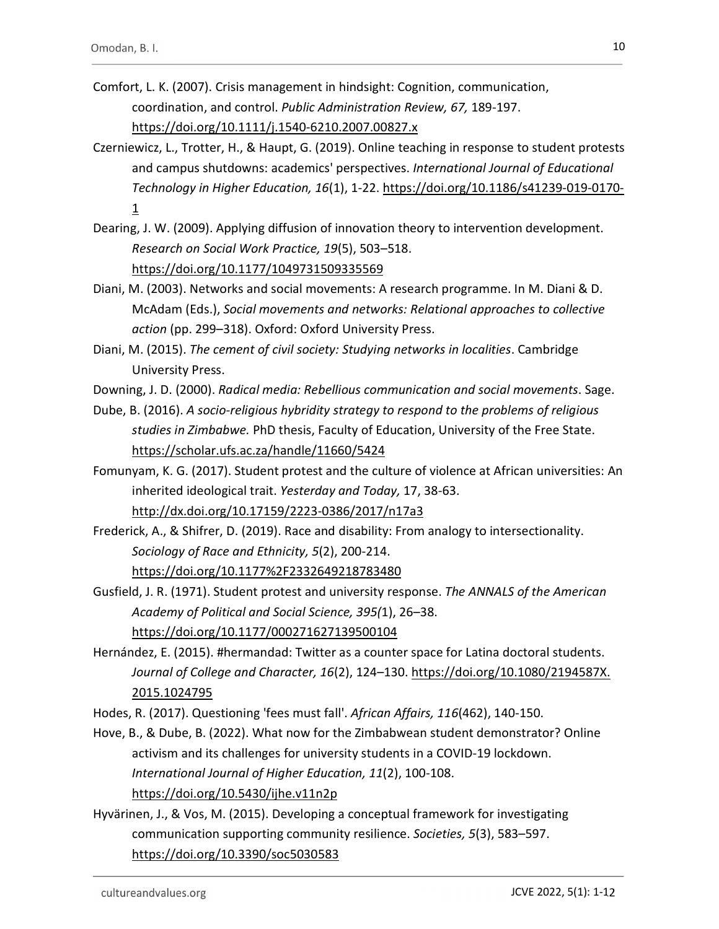- Comfort, L. K. (2007). Crisis management in hindsight: Cognition, communication, coordination, and control. Public Administration Review, 67, 189-197. https://doi.org/10.1111/j.1540-6210.2007.00827.x
- Czerniewicz, L., Trotter, H., & Haupt, G. (2019). Online teaching in response to student protests and campus shutdowns: academics' perspectives. International Journal of Educational Technology in Higher Education, 16(1), 1-22. https://doi.org/10.1186/s41239-019-0170-  $\frac{1}{2}$
- Dearing, J. W. (2009). Applying diffusion of innovation theory to intervention development. Research on Social Work Practice, 19(5), 503–518. https://doi.org/10.1177/1049731509335569
- Diani, M. (2003). Networks and social movements: A research programme. In M. Diani & D. McAdam (Eds.), Social movements and networks: Relational approaches to collective action (pp. 299–318). Oxford: Oxford University Press.
- Diani, M. (2015). The cement of civil society: Studying networks in localities. Cambridge University Press.
- Downing, J. D. (2000). Radical media: Rebellious communication and social movements. Sage.
- Dube, B. (2016). A socio-religious hybridity strategy to respond to the problems of religious studies in Zimbabwe. PhD thesis, Faculty of Education, University of the Free State. https://scholar.ufs.ac.za/handle/11660/5424
- Fomunyam, K. G. (2017). Student protest and the culture of violence at African universities: An inherited ideological trait. Yesterday and Today, 17, 38-63. http://dx.doi.org/10.17159/2223-0386/2017/n17a3
- Frederick, A., & Shifrer, D. (2019). Race and disability: From analogy to intersectionality. Sociology of Race and Ethnicity, 5(2), 200-214. https://doi.org/10.1177%2F2332649218783480
- Gusfield, J. R. (1971). Student protest and university response. The ANNALS of the American Academy of Political and Social Science, 395(1), 26–38. https://doi.org/10.1177/000271627139500104
- Hernández, E. (2015). #hermandad: Twitter as a counter space for Latina doctoral students. Journal of College and Character, 16(2), 124–130. https://doi.org/10.1080/2194587X. 2015.1024795
- Hodes, R. (2017). Questioning 'fees must fall'. African Affairs, 116(462), 140-150.
- Hove, B., & Dube, B. (2022). What now for the Zimbabwean student demonstrator? Online activism and its challenges for university students in a COVID-19 lockdown. International Journal of Higher Education, 11(2), 100-108. https://doi.org/10.5430/ijhe.v11n2p
- Hyvärinen, J., & Vos, M. (2015). Developing a conceptual framework for investigating communication supporting community resilience. Societies, 5(3), 583–597. https://doi.org/10.3390/soc5030583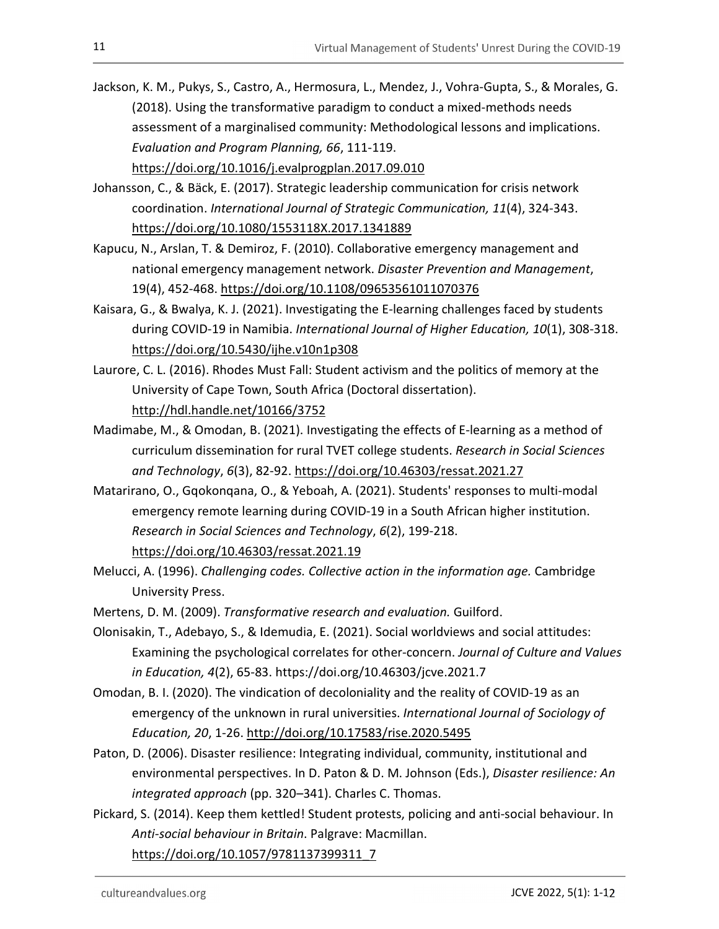- Jackson, K. M., Pukys, S., Castro, A., Hermosura, L., Mendez, J., Vohra-Gupta, S., & Morales, G. (2018). Using the transformative paradigm to conduct a mixed-methods needs assessment of a marginalised community: Methodological lessons and implications. Evaluation and Program Planning, 66, 111-119. https://doi.org/10.1016/j.evalprogplan.2017.09.010
- Johansson, C., & Bäck, E. (2017). Strategic leadership communication for crisis network coordination. International Journal of Strategic Communication, 11(4), 324-343. https://doi.org/10.1080/1553118X.2017.1341889
- Kapucu, N., Arslan, T. & Demiroz, F. (2010). Collaborative emergency management and national emergency management network. Disaster Prevention and Management, 19(4), 452-468. https://doi.org/10.1108/09653561011070376
- Kaisara, G., & Bwalya, K. J. (2021). Investigating the E-learning challenges faced by students during COVID-19 in Namibia. International Journal of Higher Education, 10(1), 308-318. https://doi.org/10.5430/ijhe.v10n1p308
- Laurore, C. L. (2016). Rhodes Must Fall: Student activism and the politics of memory at the University of Cape Town, South Africa (Doctoral dissertation). http://hdl.handle.net/10166/3752
- Madimabe, M., & Omodan, B. (2021). Investigating the effects of E-learning as a method of curriculum dissemination for rural TVET college students. Research in Social Sciences and Technology, 6(3), 82-92. https://doi.org/10.46303/ressat.2021.27
- Matarirano, O., Gqokonqana, O., & Yeboah, A. (2021). Students' responses to multi-modal emergency remote learning during COVID-19 in a South African higher institution. Research in Social Sciences and Technology, 6(2), 199-218. https://doi.org/10.46303/ressat.2021.19
- Melucci, A. (1996). Challenging codes. Collective action in the information age. Cambridge University Press.
- Mertens, D. M. (2009). Transformative research and evaluation. Guilford.
- Olonisakin, T., Adebayo, S., & Idemudia, E. (2021). Social worldviews and social attitudes: Examining the psychological correlates for other-concern. Journal of Culture and Values in Education, 4(2), 65-83. https://doi.org/10.46303/jcve.2021.7
- Omodan, B. I. (2020). The vindication of decoloniality and the reality of COVID-19 as an emergency of the unknown in rural universities. International Journal of Sociology of Education, 20, 1-26. http://doi.org/10.17583/rise.2020.5495
- Paton, D. (2006). Disaster resilience: Integrating individual, community, institutional and environmental perspectives. In D. Paton & D. M. Johnson (Eds.), Disaster resilience: An integrated approach (pp. 320–341). Charles C. Thomas.
- Pickard, S. (2014). Keep them kettled! Student protests, policing and anti-social behaviour. In Anti-social behaviour in Britain. Palgrave: Macmillan. https://doi.org/10.1057/9781137399311\_7